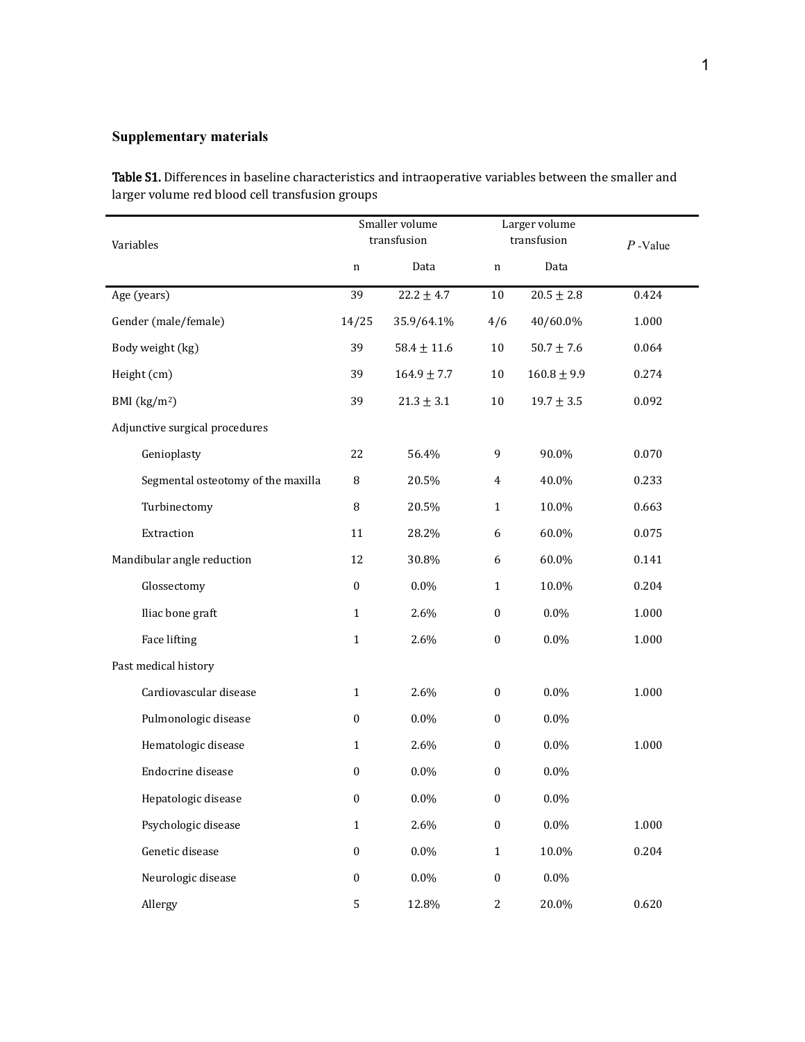## **Supplementary materials**

Table S1. Differences in baseline characteristics and intraoperative variables between the smaller and larger volume red blood cell transfusion groups

| Variables                          | Smaller volume<br>transfusion |                 |                  | Larger volume<br>transfusion | $P$ -Value |
|------------------------------------|-------------------------------|-----------------|------------------|------------------------------|------------|
|                                    | $\mathbf n$                   | Data            | $\mathbf n$      | Data                         |            |
| Age (years)                        | 39                            | $22.2 \pm 4.7$  | 10               | $20.5\pm2.8$                 | 0.424      |
| Gender (male/female)               | 14/25                         | 35.9/64.1%      | 4/6              | 40/60.0%                     | 1.000      |
| Body weight (kg)                   | 39                            | $58.4 \pm 11.6$ | 10               | $50.7 \pm 7.6$               | 0.064      |
| Height (cm)                        | 39                            | $164.9 \pm 7.7$ | $10\,$           | $160.8 \pm 9.9$              | 0.274      |
| BMI $(kg/m2)$                      | 39                            | $21.3 \pm 3.1$  | $10\,$           | $19.7 \pm 3.5$               | 0.092      |
| Adjunctive surgical procedures     |                               |                 |                  |                              |            |
| Genioplasty                        | 22                            | 56.4%           | 9                | 90.0%                        | 0.070      |
| Segmental osteotomy of the maxilla | 8                             | 20.5%           | $\overline{4}$   | 40.0%                        | 0.233      |
| Turbinectomy                       | 8                             | 20.5%           | $\mathbf{1}$     | 10.0%                        | 0.663      |
| Extraction                         | 11                            | 28.2%           | 6                | 60.0%                        | 0.075      |
| Mandibular angle reduction         | 12                            | 30.8%           | 6                | 60.0%                        | 0.141      |
| Glossectomy                        | $\boldsymbol{0}$              | 0.0%            | $\mathbf{1}$     | 10.0%                        | 0.204      |
| Iliac bone graft                   | $\mathbf{1}$                  | 2.6%            | $\boldsymbol{0}$ | $0.0\%$                      | 1.000      |
| Face lifting                       | $\mathbf{1}$                  | 2.6%            | 0                | 0.0%                         | 1.000      |
| Past medical history               |                               |                 |                  |                              |            |
| Cardiovascular disease             | $\mathbf{1}$                  | 2.6%            | $\boldsymbol{0}$ | $0.0\%$                      | 1.000      |
| Pulmonologic disease               | $\boldsymbol{0}$              | 0.0%            | $\boldsymbol{0}$ | 0.0%                         |            |
| Hematologic disease                | $\mathbf{1}$                  | 2.6%            | $\boldsymbol{0}$ | 0.0%                         | 1.000      |
| Endocrine disease                  | $\boldsymbol{0}$              | $0.0\%$         | 0                | 0.0%                         |            |
| Hepatologic disease                | $\boldsymbol{0}$              | $0.0\%$         | $\boldsymbol{0}$ | $0.0\%$                      |            |
| Psychologic disease                | $\mathbf{1}$                  | 2.6%            | $\boldsymbol{0}$ | 0.0%                         | 1.000      |
| Genetic disease                    | $\boldsymbol{0}$              | 0.0%            | $\mathbf{1}$     | 10.0%                        | 0.204      |
| Neurologic disease                 | $\boldsymbol{0}$              | $0.0\%$         | $\boldsymbol{0}$ | $0.0\%$                      |            |
| Allergy                            | 5                             | 12.8%           | $\overline{c}$   | 20.0%                        | 0.620      |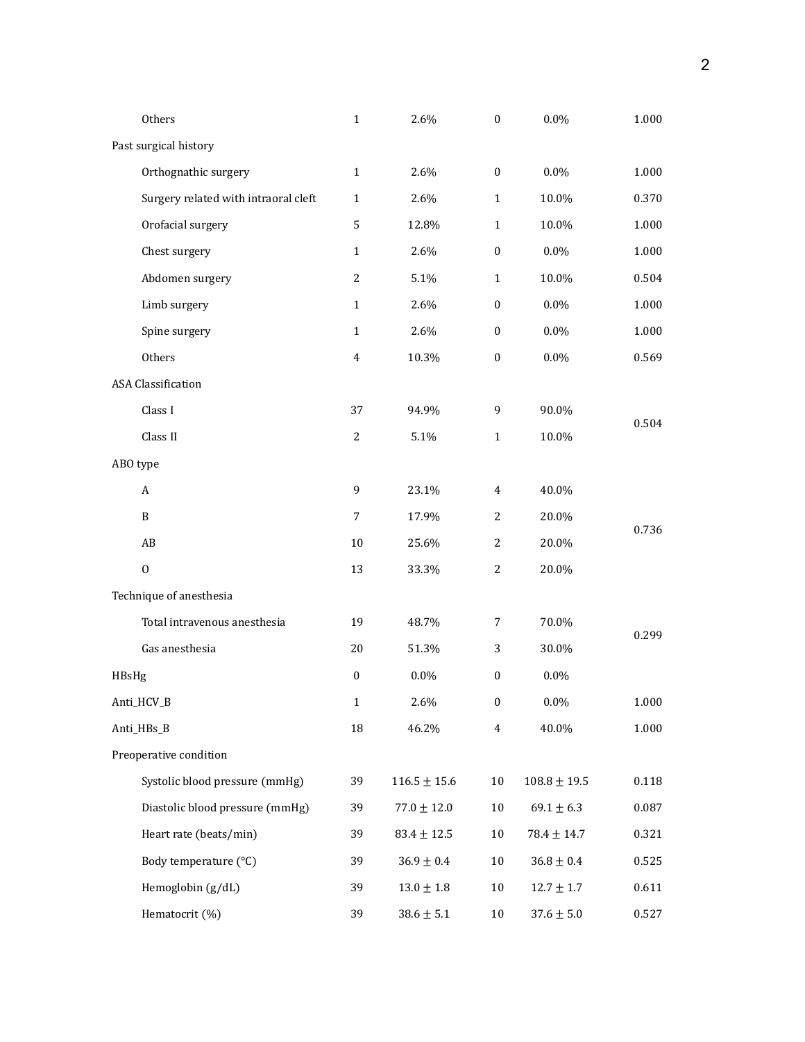| Others                               | $\mathbf{1}$     | 2.6%             | $\boldsymbol{0}$ | 0.0%            | 1.000 |
|--------------------------------------|------------------|------------------|------------------|-----------------|-------|
| Past surgical history                |                  |                  |                  |                 |       |
| Orthognathic surgery                 | $\mathbf{1}$     | 2.6%             | $\boldsymbol{0}$ | $0.0\%$         | 1.000 |
| Surgery related with intraoral cleft | $\mathbf{1}$     | 2.6%             | $\mathbf{1}$     | 10.0%           | 0.370 |
| Orofacial surgery                    | 5                | 12.8%            | $\mathbf{1}$     | 10.0%           | 1.000 |
| Chest surgery                        | $\mathbf{1}$     | 2.6%             | $\boldsymbol{0}$ | $0.0\%$         | 1.000 |
| Abdomen surgery                      | 2                | 5.1%             | $\mathbf{1}$     | 10.0%           | 0.504 |
| Limb surgery                         | $\mathbf{1}$     | 2.6%             | $\boldsymbol{0}$ | $0.0\%$         | 1.000 |
| Spine surgery                        | $\mathbf{1}$     | 2.6%             | $\boldsymbol{0}$ | 0.0%            | 1.000 |
| Others                               | $\overline{4}$   | 10.3%            | $\boldsymbol{0}$ | 0.0%            | 0.569 |
| <b>ASA Classification</b>            |                  |                  |                  |                 |       |
| Class I                              | 37               | 94.9%            | 9                | 90.0%           | 0.504 |
| Class II                             | $\sqrt{2}$       | 5.1%             | $\mathbf{1}$     | 10.0%           |       |
| ABO type                             |                  |                  |                  |                 |       |
| A                                    | 9                | 23.1%            | $\overline{4}$   | 40.0%           |       |
| B                                    | 7                | 17.9%            | 2                | 20.0%           | 0.736 |
| AB                                   | 10               | 25.6%            | 2                | 20.0%           |       |
| $\mathbf 0$                          | 13               | 33.3%            | 2                | 20.0%           |       |
| Technique of anesthesia              |                  |                  |                  |                 |       |
| Total intravenous anesthesia         | 19               | 48.7%            | 7                | 70.0%           | 0.299 |
| Gas anesthesia                       | $20\,$           | 51.3%            | 3                | 30.0%           |       |
| HBsHg                                | $\boldsymbol{0}$ | 0.0%             | $\boldsymbol{0}$ | $0.0\%$         |       |
| Anti_HCV_B                           | $\mathbf{1}$     | 2.6%             | $\boldsymbol{0}$ | $0.0\%$         | 1.000 |
| Anti_HBs_B                           | 18               | 46.2%            | $\overline{4}$   | 40.0%           | 1.000 |
| Preoperative condition               |                  |                  |                  |                 |       |
| Systolic blood pressure (mmHg)       | 39               | $116.5 \pm 15.6$ | $10\,$           | $108.8\pm19.5$  | 0.118 |
| Diastolic blood pressure (mmHg)      | 39               | $77.0 \pm 12.0$  | 10               | $69.1 \pm 6.3$  | 0.087 |
| Heart rate (beats/min)               | 39               | $83.4 \pm 12.5$  | 10               | $78.4 \pm 14.7$ | 0.321 |
| Body temperature (°C)                | 39               | $36.9\pm0.4$     | 10               | $36.8 \pm 0.4$  | 0.525 |
| Hemoglobin (g/dL)                    | 39               | $13.0\pm1.8$     | $10\,$           | $12.7 \pm 1.7$  | 0.611 |
| Hematocrit (%)                       | 39               | $38.6 \pm 5.1$   | $10\,$           | $37.6 \pm 5.0$  | 0.527 |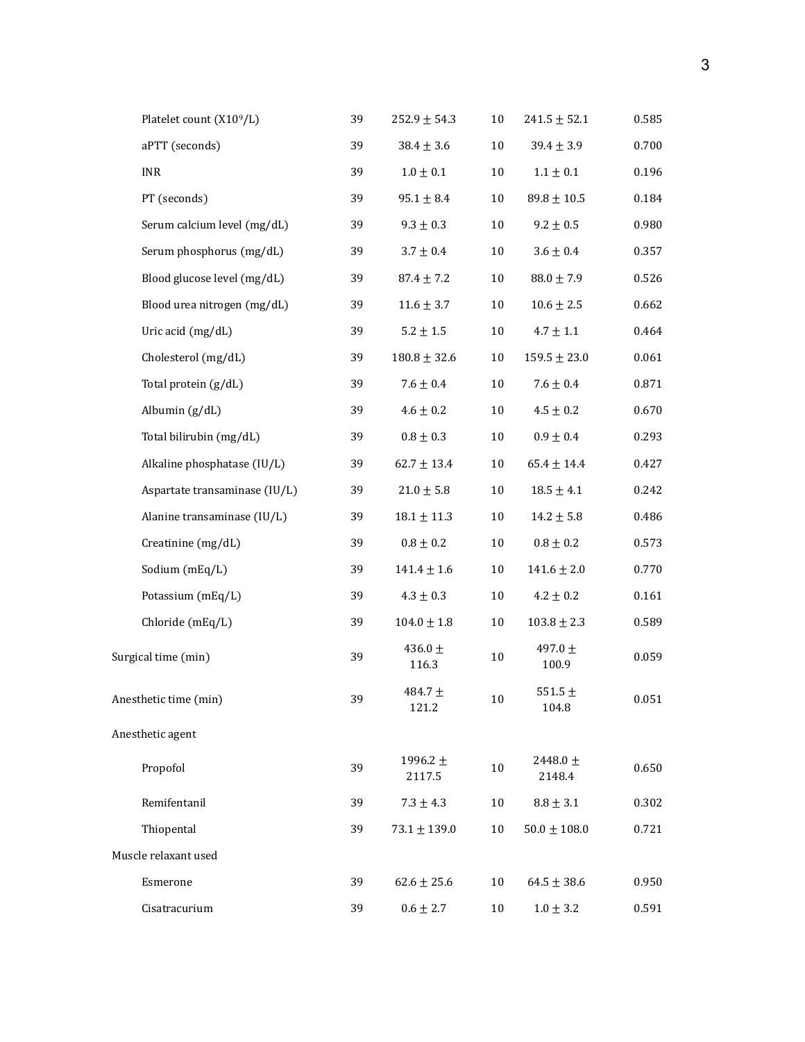| Platelet count (X109/L)       | 39 | $252.9 \pm 54.3$       | 10     | $241.5 \pm 52.1$       | 0.585 |
|-------------------------------|----|------------------------|--------|------------------------|-------|
| aPTT (seconds)                | 39 | $38.4 \pm 3.6$         | $10\,$ | $39.4 \pm 3.9$         | 0.700 |
| INR                           | 39 | $1.0 \pm 0.1$          | $10\,$ | $1.1 \pm 0.1$          | 0.196 |
| PT (seconds)                  | 39 | $95.1 \pm 8.4$         | 10     | $89.8 \pm 10.5$        | 0.184 |
| Serum calcium level (mg/dL)   | 39 | $9.3 \pm 0.3$          | $10\,$ | $9.2 \pm 0.5$          | 0.980 |
| Serum phosphorus (mg/dL)      | 39 | $3.7 \pm 0.4$          | $10\,$ | $3.6 \pm 0.4$          | 0.357 |
| Blood glucose level (mg/dL)   | 39 | $87.4 \pm 7.2$         | 10     | $88.0 \pm 7.9$         | 0.526 |
| Blood urea nitrogen (mg/dL)   | 39 | $11.6 \pm 3.7$         | $10\,$ | $10.6 \pm 2.5$         | 0.662 |
| Uric acid (mg/dL)             | 39 | $5.2 \pm 1.5$          | $10\,$ | $4.7 \pm 1.1$          | 0.464 |
| Cholesterol (mg/dL)           | 39 | $180.8 \pm 32.6$       | 10     | $159.5 \pm 23.0$       | 0.061 |
| Total protein (g/dL)          | 39 | $7.6 \pm 0.4$          | 10     | $7.6 \pm 0.4$          | 0.871 |
| Albumin (g/dL)                | 39 | $4.6 \pm 0.2$          | $10\,$ | $4.5 \pm 0.2$          | 0.670 |
| Total bilirubin (mg/dL)       | 39 | $0.8 \pm 0.3$          | $10\,$ | $0.9 \pm 0.4$          | 0.293 |
| Alkaline phosphatase (IU/L)   | 39 | $62.7 \pm 13.4$        | 10     | $65.4 \pm 14.4$        | 0.427 |
| Aspartate transaminase (IU/L) | 39 | $21.0 \pm 5.8$         | $10\,$ | $18.5 \pm 4.1$         | 0.242 |
| Alanine transaminase (IU/L)   | 39 | $18.1 \pm 11.3$        | $10\,$ | $14.2 \pm 5.8$         | 0.486 |
| Creatinine (mg/dL)            | 39 | $0.8 \pm 0.2$          | 10     | $0.8 \pm 0.2$          | 0.573 |
| Sodium (mEq/L)                | 39 | $141.4 \pm 1.6$        | $10\,$ | $141.6 \pm 2.0$        | 0.770 |
| Potassium (mEq/L)             | 39 | $4.3 \pm 0.3$          | $10\,$ | $4.2 \pm 0.2$          | 0.161 |
| Chloride (mEq/L)              | 39 | $104.0 \pm 1.8$        | 10     | $103.8 \pm 2.3$        | 0.589 |
| Surgical time (min)           | 39 | 436.0 $\pm$<br>116.3   | $10\,$ | $497.0 \pm$<br>100.9   | 0.059 |
| Anesthetic time (min)         | 39 | 484.7 $\pm$<br>121.2   | $10\,$ | $551.5 \pm$<br>104.8   | 0.051 |
| Anesthetic agent              |    |                        |        |                        |       |
| Propofol                      | 39 | 1996.2 $\pm$<br>2117.5 | 10     | 2448.0 $\pm$<br>2148.4 | 0.650 |
| Remifentanil                  | 39 | $7.3 \pm 4.3$          | 10     | $8.8 \pm 3.1$          | 0.302 |
| Thiopental                    | 39 | $73.1 \pm 139.0$       | $10\,$ | $50.0 \pm 108.0$       | 0.721 |
| Muscle relaxant used          |    |                        |        |                        |       |
| Esmerone                      | 39 | $62.6 \pm 25.6$        | 10     | $64.5 \pm 38.6$        | 0.950 |
| Cisatracurium                 | 39 | $0.6 \pm 2.7$          | $10\,$ | $1.0 \pm 3.2$          | 0.591 |